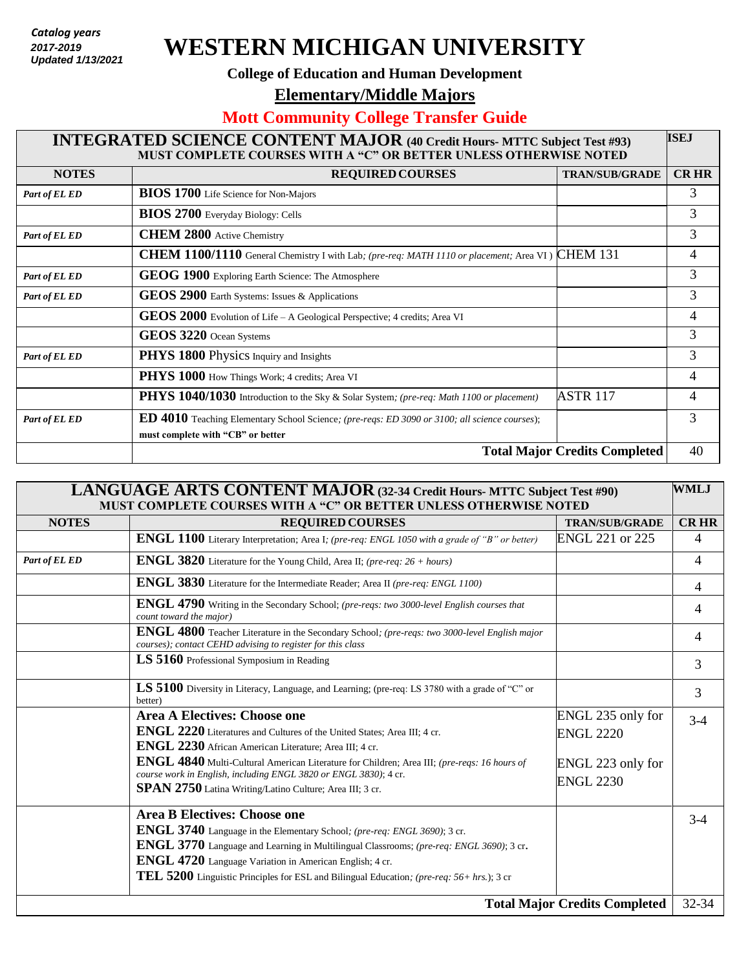*Catalog years 2017 - present* **2017-2019** *Updated: 7/27/2018*  **Updated 1/13/2021**

## **WESTERN MICHIGAN UNIVERSITY**

## **College of Education and Human Development**

**Elementary/Middle Majors** 

## **Mott Community College Transfer Guide**

| <b>INTEGRATED SCIENCE CONTENT MAJOR (40 Credit Hours- MTTC Subject Test #93)</b><br>MUST COMPLETE COURSES WITH A "C" OR BETTER UNLESS OTHERWISE NOTED |                                                                                                                                           |                       | <b>ISEJ</b> |
|-------------------------------------------------------------------------------------------------------------------------------------------------------|-------------------------------------------------------------------------------------------------------------------------------------------|-----------------------|-------------|
| <b>NOTES</b>                                                                                                                                          | <b>REQUIRED COURSES</b>                                                                                                                   | <b>TRAN/SUB/GRADE</b> | <b>CRHR</b> |
| Part of EL ED                                                                                                                                         | <b>BIOS 1700</b> Life Science for Non-Majors                                                                                              |                       | 3           |
|                                                                                                                                                       | <b>BIOS 2700</b> Everyday Biology: Cells                                                                                                  |                       | 3           |
| Part of EL ED                                                                                                                                         | <b>CHEM 2800</b> Active Chemistry                                                                                                         |                       | 3           |
|                                                                                                                                                       | <b>CHEM 1100/1110</b> General Chemistry I with Lab; (pre-req: MATH 1110 or placement; Area VI) CHEM 131                                   |                       | 4           |
| Part of EL ED                                                                                                                                         | GEOG 1900 Exploring Earth Science: The Atmosphere                                                                                         |                       | 3           |
| Part of EL ED                                                                                                                                         | GEOS 2900 Earth Systems: Issues & Applications                                                                                            |                       | 3           |
|                                                                                                                                                       | GEOS 2000 Evolution of Life - A Geological Perspective; 4 credits; Area VI                                                                |                       | 4           |
|                                                                                                                                                       | GEOS 3220 Ocean Systems                                                                                                                   |                       | 3           |
| Part of EL ED                                                                                                                                         | PHYS 1800 Physics Inquiry and Insights                                                                                                    |                       | 3           |
|                                                                                                                                                       | PHYS 1000 How Things Work; 4 credits; Area VI                                                                                             |                       | 4           |
|                                                                                                                                                       | PHYS 1040/1030 Introduction to the Sky & Solar System; (pre-req: Math 1100 or placement)                                                  | <b>ASTR 117</b>       | 4           |
| Part of EL ED                                                                                                                                         | <b>ED 4010</b> Teaching Elementary School Science; (pre-reqs: ED 3090 or 3100; all science courses);<br>must complete with "CB" or better |                       | 3           |
| <b>Total Major Credits Completed</b>                                                                                                                  |                                                                                                                                           |                       | 40          |

| LANGUAGE ARTS CONTENT MAJOR (32-34 Credit Hours- MTTC Subject Test #90)<br><b>WMLJ</b><br>MUST COMPLETE COURSES WITH A "C" OR BETTER UNLESS OTHERWISE NOTED |                                                                                                                                                                                                                                                                                                                                                                                                          |                                                                                |             |
|-------------------------------------------------------------------------------------------------------------------------------------------------------------|----------------------------------------------------------------------------------------------------------------------------------------------------------------------------------------------------------------------------------------------------------------------------------------------------------------------------------------------------------------------------------------------------------|--------------------------------------------------------------------------------|-------------|
| <b>NOTES</b>                                                                                                                                                | <b>REQUIRED COURSES</b>                                                                                                                                                                                                                                                                                                                                                                                  | <b>TRAN/SUB/GRADE</b>                                                          | <b>CRHR</b> |
|                                                                                                                                                             | ENGL 1100 Literary Interpretation; Area I; (pre-req: ENGL 1050 with a grade of "B" or better)                                                                                                                                                                                                                                                                                                            | ENGL 221 or 225                                                                | 4           |
| Part of EL ED                                                                                                                                               | <b>ENGL 3820</b> Literature for the Young Child, Area II; (pre-req: 26 + hours)                                                                                                                                                                                                                                                                                                                          |                                                                                | 4           |
|                                                                                                                                                             | ENGL 3830 Literature for the Intermediate Reader; Area II (pre-req: ENGL 1100)                                                                                                                                                                                                                                                                                                                           |                                                                                | 4           |
|                                                                                                                                                             | ENGL 4790 Writing in the Secondary School; (pre-reqs: two 3000-level English courses that<br>count toward the major)                                                                                                                                                                                                                                                                                     |                                                                                | 4           |
|                                                                                                                                                             | ENGL 4800 Teacher Literature in the Secondary School; (pre-reqs: two 3000-level English major<br>courses); contact CEHD advising to register for this class                                                                                                                                                                                                                                              |                                                                                | 4           |
|                                                                                                                                                             | LS 5160 Professional Symposium in Reading                                                                                                                                                                                                                                                                                                                                                                |                                                                                | 3           |
|                                                                                                                                                             | <b>LS</b> 5100 Diversity in Literacy, Language, and Learning; (pre-req: LS 3780 with a grade of "C" or<br>better)                                                                                                                                                                                                                                                                                        |                                                                                | 3           |
|                                                                                                                                                             | <b>Area A Electives: Choose one</b><br>ENGL 2220 Literatures and Cultures of the United States; Area III; 4 cr.<br>ENGL 2230 African American Literature; Area III; 4 cr.<br>ENGL 4840 Multi-Cultural American Literature for Children; Area III; (pre-reqs: 16 hours of<br>course work in English, including ENGL 3820 or ENGL 3830); 4 cr.<br>SPAN 2750 Latina Writing/Latino Culture; Area III; 3 cr. | ENGL 235 only for<br><b>ENGL 2220</b><br>ENGL 223 only for<br><b>ENGL 2230</b> | $3-4$       |
|                                                                                                                                                             | <b>Area B Electives: Choose one</b><br><b>ENGL 3740</b> Language in the Elementary School; (pre-req: ENGL 3690); 3 cr.<br><b>ENGL 3770</b> Language and Learning in Multilingual Classrooms; (pre-req: ENGL 3690); 3 cr.<br>ENGL 4720 Language Variation in American English; 4 cr.<br>TEL 5200 Linguistic Principles for ESL and Bilingual Education; (pre-req: 56+ hrs.); 3 cr                         |                                                                                | $3-4$       |
| <b>Total Major Credits Completed</b>                                                                                                                        |                                                                                                                                                                                                                                                                                                                                                                                                          |                                                                                | 32-34       |